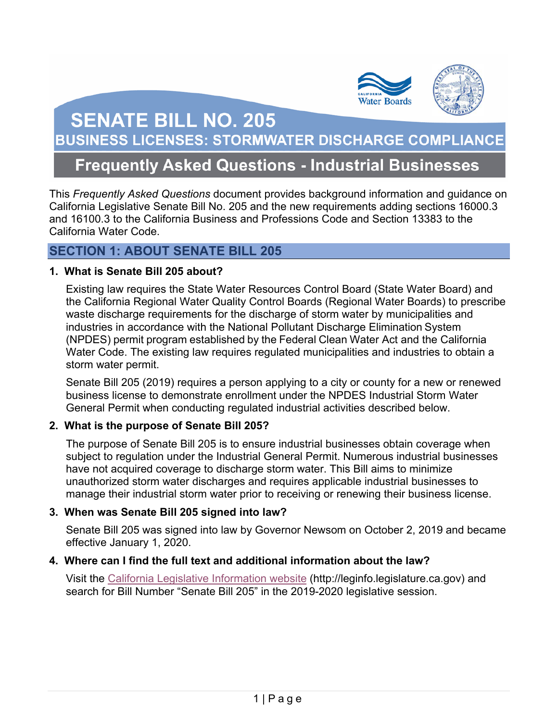

# **SENATE BILL NO. 205**

**BUSINESS LICENSES: STORMWATER DISCHARGE COMPLIANCE** 

# **Frequently Asked Questions - Industrial Businesses**

 California Legislative Senate Bill No. 205 and the new requirements adding sections 16000.3 This *Frequently Asked Questions* document provides background information and guidance on and 16100.3 to the California Business and Professions Code and Section 13383 to the California Water Code.

### **SECTION 1: ABOUT SENATE BILL 205**

#### **1. What is Senate Bill 205 about?**

 Existing law requires the State Water Resources Control Board (State Water Board) and the California Regional Water Quality Control Boards (Regional Water Boards) to prescribe waste discharge requirements for the discharge of storm water by municipalities and industries in accordance with the National Pollutant Discharge Elimination System (NPDES) permit program established by the Federal Clean Water Act and the California storm water permit. Water Code. The existing law requires regulated municipalities and industries to obtain a

 Senate Bill 205 (2019) requires a person applying to a city or county for a new or renewed business license to demonstrate enrollment under the NPDES Industrial Storm Water General Permit when conducting regulated industrial activities described below.

#### **2. What is the purpose of Senate Bill 205?**

 The purpose of Senate Bill 205 is to ensure industrial businesses obtain coverage when subject to regulation under the Industrial General Permit. Numerous industrial businesses have not acquired coverage to discharge storm water. This Bill aims to minimize unauthorized storm water discharges and requires applicable industrial businesses to manage their industrial storm water prior to receiving or renewing their business license.

#### **3. When was Senate Bill 205 signed into law?**

 Senate Bill 205 was signed into law by Governor Newsom on October 2, 2019 and became effective January 1, 2020.

#### **4. Where can I find the full text and additional information about the law?**

 search for Bill Number "Senate Bill 205" in the 2019-2020 legislative session. Visit the [California Legislative Information website \(](http://leginfo.legislature.ca.gov/)[http://leginfo.legislature.ca.gov\)](http://leginfo.legislature.ca.gov) and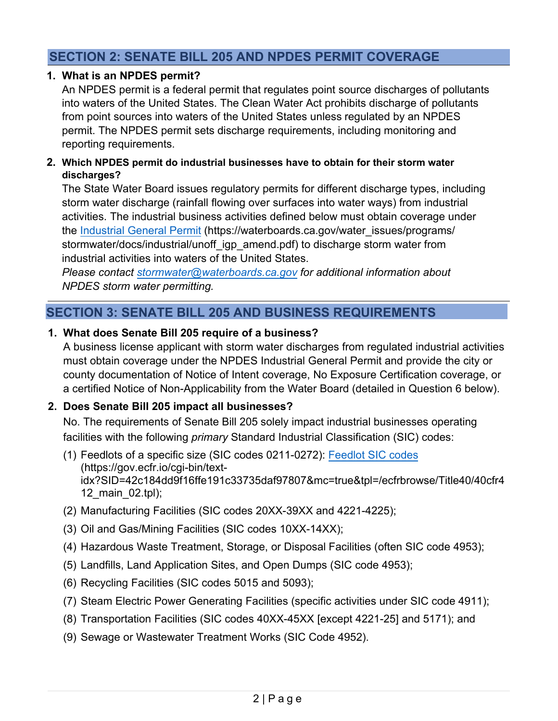# **SECTION 2: SENATE BILL 205 AND NPDES PERMIT COVERAGE**

#### **1. What is an NPDES permit?**

An NPDES permit is a federal permit that regulates point source discharges of pollutants into waters of the United States. The Clean Water Act prohibits discharge of pollutants from point sources into waters of the United States unless regulated by an NPDES permit. The NPDES permit sets discharge requirements, including monitoring and reporting requirements.

#### **2. Which NPDES permit do industrial businesses have to obtain for their storm water discharges?**

The State Water Board issues regulatory permits for different discharge types, including storm water discharge (rainfall flowing over surfaces into water ways) from industrial activities. The industrial business activities defined below must obtain coverage under the [Industrial General Permit](https://waterboards.ca.gov/water_issues/programs/stormwater/docs/industrial/unoff_igp_amend.pdf) [\(https://waterboards.ca.gov/water\\_issues/programs](https://waterboards.ca.gov/water_issues/programs)/ stormwater/docs/industrial/unoff\_igp\_amend.pdf) to discharge storm water from industrial activities into waters of the United States.

*Please contact [stormwater@waterboards.ca.gov](mailto:stormwater@waterboards.ca.gov) for additional information about NPDES storm water permitting.* 

# **SECTION 3: SENATE BILL 205 AND BUSINESS REQUIREMENTS**

#### **1. What does Senate Bill 205 require of a business?**

 must obtain coverage under the NPDES Industrial General Permit and provide the city or A business license applicant with storm water discharges from regulated industrial activities county documentation of Notice of Intent coverage, No Exposure Certification coverage, or a certified Notice of Non-Applicability from the Water Board (detailed in Question 6 below).

#### **2. Does Senate Bill 205 impact all businesses?**

No. The requirements of Senate Bill 205 solely impact industrial businesses operating facilities with the following *primary* Standard Industrial Classification (SIC) codes:

- (1) Feedlots of a specific size (SIC codes 0211-0272): [Feedlot SIC codes](https://ecfr.io/cgi-bin/text-idx?SID=42c184dd9f16ffe191c33735daf97807&mc=true&tpl=/ecfrbrowse/Title40/40cfr412_main_02.tpl) (<https://gov.ecfr.io/cgi-bin/text>idx?SID=42c184dd9f16ffe191c33735daf97807&mc=true&tpl=/ecfrbrowse/Title40/40cfr4 12\_main\_02.tpl);
- (2) Manufacturing Facilities (SIC codes 20XX-39XX and 4221-4225);
- (3) Oil and Gas/Mining Facilities (SIC codes 10XX-14XX);
- (4) Hazardous Waste Treatment, Storage, or Disposal Facilities (often SIC code 4953);
- (5) Landfills, Land Application Sites, and Open Dumps (SIC code 4953);
- (6) Recycling Facilities (SIC codes 5015 and 5093);
- (7) Steam Electric Power Generating Facilities (specific activities under SIC code 4911);
- (8) Transportation Facilities (SIC codes 40XX-45XX [except 4221-25] and 5171); and
- (9) Sewage or Wastewater Treatment Works (SIC Code 4952).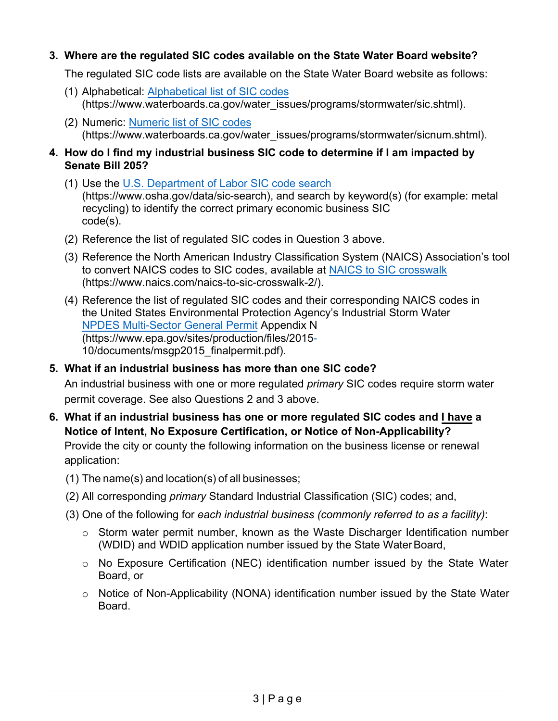#### **3. Where are the regulated SIC codes available on the State Water Board website?**

The regulated SIC code lists are available on the State Water Board website as follows:

- (1) Alphabetical: [Alphabetical list of SIC codes](https://www.waterboards.ca.gov/water_issues/programs/stormwater/sic.shtml)  [\(https://www.waterboards.ca.gov/water\\_issues/programs/stormwater/sic.shtml](https://www.waterboards.ca.gov/water_issues/programs/stormwater/sic.shtml)).
- (2) Numeric: [Numeric list of SIC codes](https://www.waterboards.ca.gov/water_issues/programs/stormwater/sicnum.shtml)  [\(https://www.waterboards.ca.gov/water\\_issues/programs/stormwater/sicnum.shtml](https://www.waterboards.ca.gov/water_issues/programs/stormwater/sicnum.shtml)).

#### **4. How do I find my industrial business SIC code to determine if I am impacted by Senate Bill 205?**

- (1) Use the [U.S. Department of Labor SIC code search](https://www.osha.gov/data/sic-search)  [\(https://www.osha.gov/data/sic-search\)](https://www.osha.gov/data/sic-search), and search by keyword(s) (for example: metal recycling) to identify the correct primary economic business SIC code(s).
- (2) Reference the list of regulated SIC codes in Question 3 above.
- (3) Reference the North American Industry Classification System (NAICS) Association's tool to convert NAICS codes to SIC codes, available at [NAICS to SIC crosswalk](https://www.naics.com/naics-to-sic-crosswalk-2/)  [\(https://www.naics.com/naics-to-sic-crosswalk-2/](https://www.naics.com/naics-to-sic-crosswalk-2)).
- (4) Reference the list of regulated SIC codes and their corresponding NAICS codes in the United States Environmental Protection Agency's Industrial Storm Water [NPDES Multi-Sector General Permit](https://www.epa.gov/sites/production/files/2015-10/documents/msgp2015_finalpermit.pdf) Appendix N (https://www.epa.gov/sites/production/files/2015- 10/documents/msgp2015\_finalpermit.pdf).

# **5. What if an industrial business has more than one SIC code?**

An industrial business with one or more regulated *primary* SIC codes require storm water permit coverage. See also Questions 2 and 3 above.

**6. What if an industrial business has one or more regulated SIC codes and I have a Notice of Intent, No Exposure Certification, or Notice of Non-Applicability?**  Provide the city or county the following information on the business license or renewal

application:

- (1) The name(s) and location(s) of all businesses;
- (2) All corresponding *primary* Standard Industrial Classification (SIC) codes; and,
- (3) One of the following for *each industrial business (commonly referred to as a facility)*:
	- $\circ$  Storm water permit number, known as the Waste Discharger Identification number (WDID) and WDID application number issued by the State WaterBoard,
	- o No Exposure Certification (NEC) identification number issued by the State Water Board, or
	- $\circ$  Notice of Non-Applicability (NONA) identification number issued by the State Water Board.